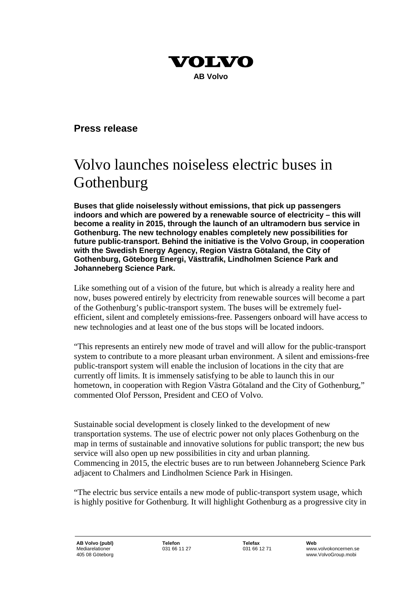

#### **Press release**

## Volvo launches noiseless electric buses in Gothenburg

**Buses that glide noiselessly without emissions, that pick up passengers indoors and which are powered by a renewable source of electricity – this will become a reality in 2015, through the launch of an ultramodern bus service in Gothenburg. The new technology enables completely new possibilities for future public-transport. Behind the initiative is the Volvo Group, in cooperation with the Swedish Energy Agency, Region Västra Götaland, the City of Gothenburg, Göteborg Energi, Västtrafik, Lindholmen Science Park and Johanneberg Science Park.**

Like something out of a vision of the future, but which is already a reality here and now, buses powered entirely by electricity from renewable sources will become a part of the Gothenburg's public-transport system. The buses will be extremely fuelefficient, silent and completely emissions-free. Passengers onboard will have access to new technologies and at least one of the bus stops will be located indoors.

"This represents an entirely new mode of travel and will allow for the public-transport system to contribute to a more pleasant urban environment. A silent and emissions-free public-transport system will enable the inclusion of locations in the city that are currently off limits. It is immensely satisfying to be able to launch this in our hometown, in cooperation with Region Västra Götaland and the City of Gothenburg," commented Olof Persson, President and CEO of Volvo.

Sustainable social development is closely linked to the development of new transportation systems. The use of electric power not only places Gothenburg on the map in terms of sustainable and innovative solutions for public transport; the new bus service will also open up new possibilities in city and urban planning. Commencing in 2015, the electric buses are to run between Johanneberg Science Park adjacent to Chalmers and Lindholmen Science Park in Hisingen.

"The electric bus service entails a new mode of public-transport system usage, which is highly positive for Gothenburg. It will highlight Gothenburg as a progressive city in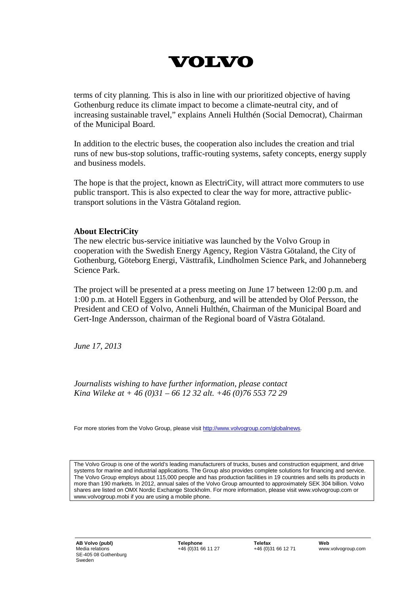# **VOLVO**

terms of city planning. This is also in line with our prioritized objective of having Gothenburg reduce its climate impact to become a climate-neutral city, and of increasing sustainable travel," explains Anneli Hulthén (Social Democrat), Chairman of the Municipal Board.

In addition to the electric buses, the cooperation also includes the creation and trial runs of new bus-stop solutions, traffic-routing systems, safety concepts, energy supply and business models.

The hope is that the project, known as ElectriCity, will attract more commuters to use public transport. This is also expected to clear the way for more, attractive publictransport solutions in the Västra Götaland region.

#### **About ElectriCity**

The new electric bus-service initiative was launched by the Volvo Group in cooperation with the Swedish Energy Agency, Region Västra Götaland, the City of Gothenburg, Göteborg Energi, Västtrafik, Lindholmen Science Park, and Johanneberg Science Park.

The project will be presented at a press meeting on June 17 between 12:00 p.m. and 1:00 p.m. at Hotell Eggers in Gothenburg, and will be attended by Olof Persson, the President and CEO of Volvo, Anneli Hulthén, Chairman of the Municipal Board and Gert-Inge Andersson, chairman of the Regional board of Västra Götaland.

*June 17, 2013*

*Journalists wishing to have further information, please contact Kina Wileke at + 46 (0)31 – 66 12 32 alt. +46 (0)76 553 72 29*

For more stories from the Volvo Group, please visi[t http://www.volvogroup.com/globalnews.](http://www.volvogroup.com/globalnews)

The Volvo Group is one of the world's leading manufacturers of trucks, buses and construction equipment, and drive systems for marine and industrial applications. The Group also provides complete solutions for financing and service. The Volvo Group employs about 115,000 people and has production facilities in 19 countries and sells its products in more than 190 markets. In 2012, annual sales of the Volvo Group amounted to approximately SEK 304 billion. Volvo shares are listed on OMX Nordic Exchange Stockholm. For more information, please visit www.volvogroup.com or www.volvogroup.mobi if you are using a mobile phone.